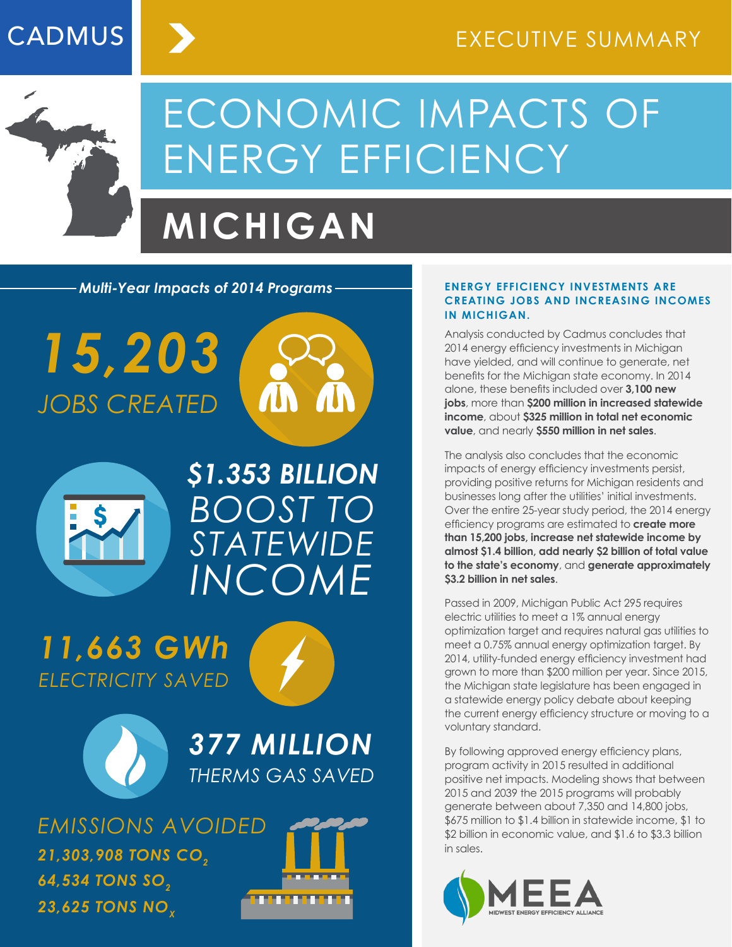

**CADMUS** 

# ECONOMIC IMPACTS OF ENERGY EFFICIENCY

## **MICHIGAN**

*Multi-Year Impacts of 2014 Programs*

# *15,203 JOBS CREATED*





*BOOST TO STATEWIDE INCOME \$1.353 BILLION* 

*11,663 GWh ELECTRICITY SAVED*





*377 MILLION THERMS GAS SAVED*

*EMISSIONS AVOIDED* 64,534 TONS SO<sub>2</sub> *21,303,908 TONS CO2* **23,625 TONS NO<sub>v</sub>** 



### **ENERGY EFFICIENCY INVESTMENTS ARE CREATING JOBS AND INCREASING INCOMES IN MICHIGAN.**

Analysis conducted by Cadmus concludes that 2014 energy efficiency investments in Michigan have yielded, and will continue to generate, net benefits for the Michigan state economy. In 2014 alone, these benefits included over **3,100 new jobs**, more than **\$200 million in increased statewide income**, about **\$325 million in total net economic value**, and nearly **\$550 million in net sales**.

The analysis also concludes that the economic impacts of energy efficiency investments persist, providing positive returns for Michigan residents and businesses long after the utilities' initial investments. Over the entire 25-year study period, the 2014 energy efficiency programs are estimated to **create more than 15,200 jobs, increase net statewide income by almost \$1.4 billion, add nearly \$2 billion of total value to the state's economy**, and **generate approximately \$3.2 billion in net sales**.

Passed in 2009, Michigan Public Act 295 requires electric utilities to meet a 1% annual energy optimization target and requires natural gas utilities to meet a 0.75% annual energy optimization target. By 2014, utility-funded energy efficiency investment had grown to more than \$200 million per year. Since 2015, the Michigan state legislature has been engaged in a statewide energy policy debate about keeping the current energy efficiency structure or moving to a voluntary standard.

By following approved energy efficiency plans, program activity in 2015 resulted in additional positive net impacts. Modeling shows that between 2015 and 2039 the 2015 programs will probably generate between about 7,350 and 14,800 jobs, \$675 million to \$1.4 billion in statewide income, \$1 to \$2 billion in economic value, and \$1.6 to \$3.3 billion in sales.